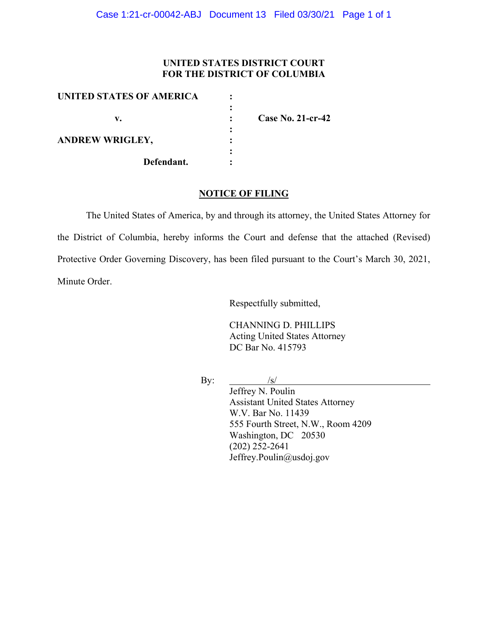### **UNITED STATES DISTRICT COURT FOR THE DISTRICT OF COLUMBIA**

| <b>Case No. 21-cr-42</b> |
|--------------------------|
|                          |
|                          |
|                          |
|                          |
|                          |

#### **NOTICE OF FILING**

The United States of America, by and through its attorney, the United States Attorney for the District of Columbia, hereby informs the Court and defense that the attached (Revised) Protective Order Governing Discovery, has been filed pursuant to the Court's March 30, 2021, Minute Order.

Respectfully submitted,

CHANNING D. PHILLIPS Acting United States Attorney DC Bar No. 415793

By:  $\frac{1}{s}$ 

Jeffrey N. Poulin Assistant United States Attorney W.V. Bar No. 11439 555 Fourth Street, N.W., Room 4209 Washington, DC 20530 (202) 252-2641 Jeffrey.Poulin@usdoj.gov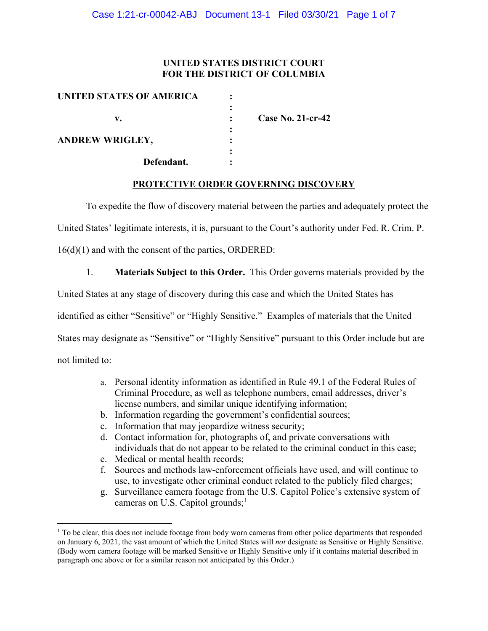### **UNITED STATES DISTRICT COURT FOR THE DISTRICT OF COLUMBIA**

| UNITED STATES OF AMERICA |                          |
|--------------------------|--------------------------|
| v.                       | <b>Case No. 21-cr-42</b> |
| <b>ANDREW WRIGLEY,</b>   |                          |
| Defendant.               |                          |

#### **PROTECTIVE ORDER GOVERNING DISCOVERY**

To expedite the flow of discovery material between the parties and adequately protect the

United States' legitimate interests, it is, pursuant to the Court's authority under Fed. R. Crim. P.

16(d)(1) and with the consent of the parties, ORDERED:

1. **Materials Subject to this Order.** This Order governs materials provided by the

United States at any stage of discovery during this case and which the United States has

identified as either "Sensitive" or "Highly Sensitive." Examples of materials that the United

States may designate as "Sensitive" or "Highly Sensitive" pursuant to this Order include but are

not limited to:

- a. Personal identity information as identified in Rule 49.1 of the Federal Rules of Criminal Procedure, as well as telephone numbers, email addresses, driver's license numbers, and similar unique identifying information;
- b. Information regarding the government's confidential sources;
- c. Information that may jeopardize witness security;
- d. Contact information for, photographs of, and private conversations with individuals that do not appear to be related to the criminal conduct in this case;
- e. Medical or mental health records;
- f. Sources and methods law-enforcement officials have used, and will continue to use, to investigate other criminal conduct related to the publicly filed charges;
- g. Surveillance camera footage from the U.S. Capitol Police's extensive system of cameras on U.S. Capitol grounds;<sup>1</sup>

 $1$  To be clear, this does not include footage from body worn cameras from other police departments that responded on January 6, 2021, the vast amount of which the United States will *not* designate as Sensitive or Highly Sensitive. (Body worn camera footage will be marked Sensitive or Highly Sensitive only if it contains material described in paragraph one above or for a similar reason not anticipated by this Order.)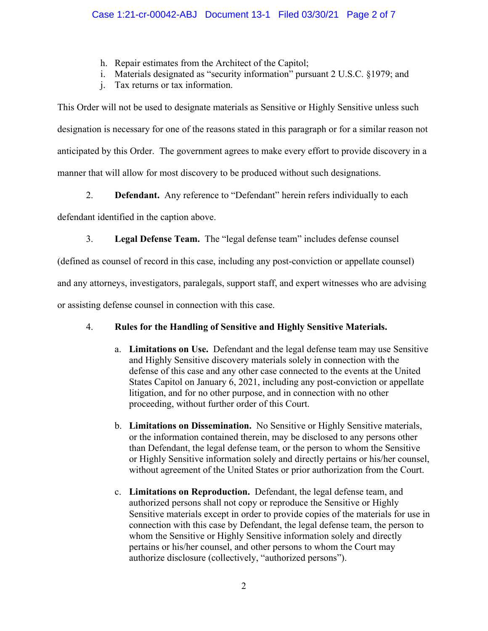- h. Repair estimates from the Architect of the Capitol;
- i. Materials designated as "security information" pursuant 2 U.S.C. §1979; and
- j. Tax returns or tax information.

This Order will not be used to designate materials as Sensitive or Highly Sensitive unless such designation is necessary for one of the reasons stated in this paragraph or for a similar reason not anticipated by this Order. The government agrees to make every effort to provide discovery in a manner that will allow for most discovery to be produced without such designations.

2. **Defendant.** Any reference to "Defendant" herein refers individually to each

defendant identified in the caption above.

3. **Legal Defense Team.** The "legal defense team" includes defense counsel

(defined as counsel of record in this case, including any post-conviction or appellate counsel)

and any attorneys, investigators, paralegals, support staff, and expert witnesses who are advising

or assisting defense counsel in connection with this case.

# 4. **Rules for the Handling of Sensitive and Highly Sensitive Materials.**

- a. **Limitations on Use.** Defendant and the legal defense team may use Sensitive and Highly Sensitive discovery materials solely in connection with the defense of this case and any other case connected to the events at the United States Capitol on January 6, 2021, including any post-conviction or appellate litigation, and for no other purpose, and in connection with no other proceeding, without further order of this Court.
- b. **Limitations on Dissemination.** No Sensitive or Highly Sensitive materials, or the information contained therein, may be disclosed to any persons other than Defendant, the legal defense team, or the person to whom the Sensitive or Highly Sensitive information solely and directly pertains or his/her counsel, without agreement of the United States or prior authorization from the Court.
- c. **Limitations on Reproduction.** Defendant, the legal defense team, and authorized persons shall not copy or reproduce the Sensitive or Highly Sensitive materials except in order to provide copies of the materials for use in connection with this case by Defendant, the legal defense team, the person to whom the Sensitive or Highly Sensitive information solely and directly pertains or his/her counsel, and other persons to whom the Court may authorize disclosure (collectively, "authorized persons").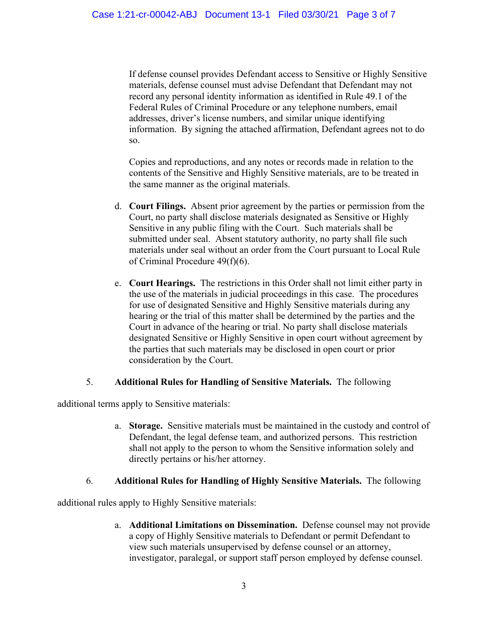If defense counsel provides Defendant access to Sensitive or Highly Sensitive materials, defense counsel must advise Defendant that Defendant may not record any personal identity information as identified in Rule 49.1 of the Federal Rules of Criminal Procedure or any telephone numbers, email addresses, driver's license numbers, and similar unique identifying information. By signing the attached affirmation, Defendant agrees not to do so.

Copies and reproductions, and any notes or records made in relation to the contents of the Sensitive and Highly Sensitive materials, are to be treated in the same manner as the original materials.

- d. **Court Filings.** Absent prior agreement by the parties or permission from the Court, no party shall disclose materials designated as Sensitive or Highly Sensitive in any public filing with the Court. Such materials shall be submitted under seal. Absent statutory authority, no party shall file such materials under seal without an order from the Court pursuant to Local Rule of Criminal Procedure 49(f)(6).
- e. **Court Hearings.** The restrictions in this Order shall not limit either party in the use of the materials in judicial proceedings in this case. The procedures for use of designated Sensitive and Highly Sensitive materials during any hearing or the trial of this matter shall be determined by the parties and the Court in advance of the hearing or trial. No party shall disclose materials designated Sensitive or Highly Sensitive in open court without agreement by the parties that such materials may be disclosed in open court or prior consideration by the Court.

## 5. **Additional Rules for Handling of Sensitive Materials.** The following

additional terms apply to Sensitive materials:

a. **Storage.** Sensitive materials must be maintained in the custody and control of Defendant, the legal defense team, and authorized persons. This restriction shall not apply to the person to whom the Sensitive information solely and directly pertains or his/her attorney.

#### 6. **Additional Rules for Handling of Highly Sensitive Materials.** The following

additional rules apply to Highly Sensitive materials:

a. **Additional Limitations on Dissemination.** Defense counsel may not provide a copy of Highly Sensitive materials to Defendant or permit Defendant to view such materials unsupervised by defense counsel or an attorney, investigator, paralegal, or support staff person employed by defense counsel.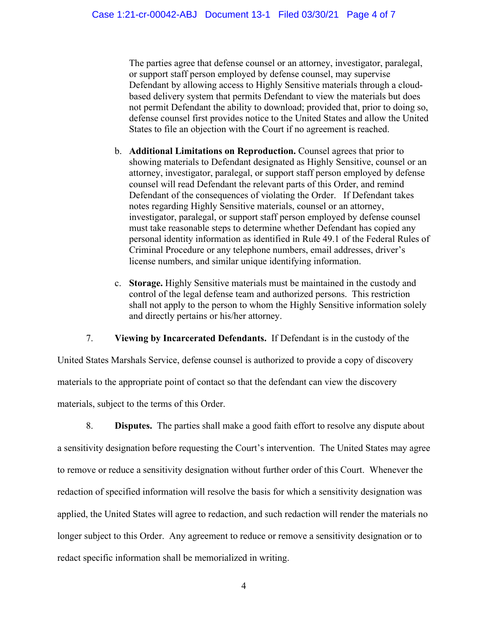The parties agree that defense counsel or an attorney, investigator, paralegal, or support staff person employed by defense counsel, may supervise Defendant by allowing access to Highly Sensitive materials through a cloudbased delivery system that permits Defendant to view the materials but does not permit Defendant the ability to download; provided that, prior to doing so, defense counsel first provides notice to the United States and allow the United States to file an objection with the Court if no agreement is reached.

- b. **Additional Limitations on Reproduction.** Counsel agrees that prior to showing materials to Defendant designated as Highly Sensitive, counsel or an attorney, investigator, paralegal, or support staff person employed by defense counsel will read Defendant the relevant parts of this Order, and remind Defendant of the consequences of violating the Order. If Defendant takes notes regarding Highly Sensitive materials, counsel or an attorney, investigator, paralegal, or support staff person employed by defense counsel must take reasonable steps to determine whether Defendant has copied any personal identity information as identified in Rule 49.1 of the Federal Rules of Criminal Procedure or any telephone numbers, email addresses, driver's license numbers, and similar unique identifying information.
- c. **Storage.** Highly Sensitive materials must be maintained in the custody and control of the legal defense team and authorized persons. This restriction shall not apply to the person to whom the Highly Sensitive information solely and directly pertains or his/her attorney.

7. **Viewing by Incarcerated Defendants.** If Defendant is in the custody of the

United States Marshals Service, defense counsel is authorized to provide a copy of discovery materials to the appropriate point of contact so that the defendant can view the discovery materials, subject to the terms of this Order.

8. **Disputes.** The parties shall make a good faith effort to resolve any dispute about a sensitivity designation before requesting the Court's intervention. The United States may agree to remove or reduce a sensitivity designation without further order of this Court. Whenever the redaction of specified information will resolve the basis for which a sensitivity designation was applied, the United States will agree to redaction, and such redaction will render the materials no longer subject to this Order. Any agreement to reduce or remove a sensitivity designation or to redact specific information shall be memorialized in writing.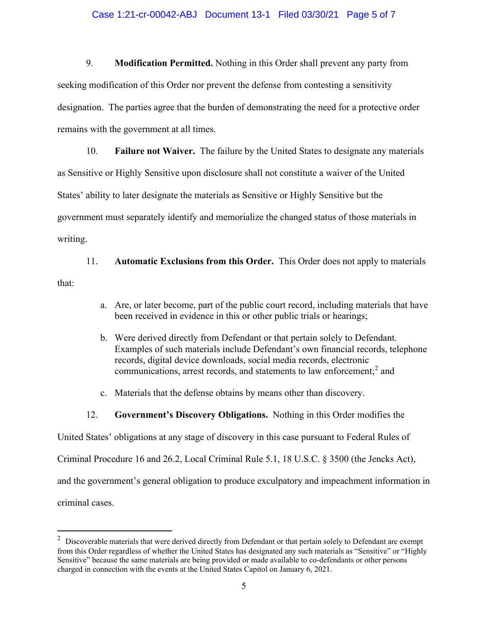#### Case 1:21-cr-00042-ABJ Document 13-1 Filed 03/30/21 Page 5 of 7

9. **Modification Permitted.** Nothing in this Order shall prevent any party from seeking modification of this Order nor prevent the defense from contesting a sensitivity designation. The parties agree that the burden of demonstrating the need for a protective order remains with the government at all times.

10. **Failure not Waiver.** The failure by the United States to designate any materials as Sensitive or Highly Sensitive upon disclosure shall not constitute a waiver of the United States' ability to later designate the materials as Sensitive or Highly Sensitive but the government must separately identify and memorialize the changed status of those materials in writing.

11. **Automatic Exclusions from this Order.** This Order does not apply to materials that:

- a. Are, or later become, part of the public court record, including materials that have been received in evidence in this or other public trials or hearings;
- b. Were derived directly from Defendant or that pertain solely to Defendant. Examples of such materials include Defendant's own financial records, telephone records, digital device downloads, social media records, electronic communications, arrest records, and statements to law enforcement; <sup>2</sup> and
- c. Materials that the defense obtains by means other than discovery.
- 12. **Government's Discovery Obligations.** Nothing in this Order modifies the

United States' obligations at any stage of discovery in this case pursuant to Federal Rules of

Criminal Procedure 16 and 26.2, Local Criminal Rule 5.1, 18 U.S.C. § 3500 (the Jencks Act),

and the government's general obligation to produce exculpatory and impeachment information in

criminal cases.

 $2$  Discoverable materials that were derived directly from Defendant or that pertain solely to Defendant are exempt from this Order regardless of whether the United States has designated any such materials as "Sensitive" or "Highly Sensitive" because the same materials are being provided or made available to co-defendants or other persons charged in connection with the events at the United States Capitol on January 6, 2021.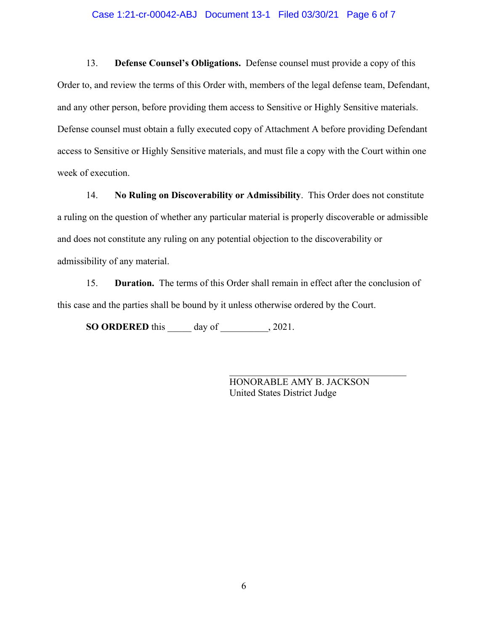#### Case 1:21-cr-00042-ABJ Document 13-1 Filed 03/30/21 Page 6 of 7

13. **Defense Counsel's Obligations.** Defense counsel must provide a copy of this Order to, and review the terms of this Order with, members of the legal defense team, Defendant, and any other person, before providing them access to Sensitive or Highly Sensitive materials. Defense counsel must obtain a fully executed copy of Attachment A before providing Defendant access to Sensitive or Highly Sensitive materials, and must file a copy with the Court within one week of execution.

14. **No Ruling on Discoverability or Admissibility**. This Order does not constitute a ruling on the question of whether any particular material is properly discoverable or admissible and does not constitute any ruling on any potential objection to the discoverability or admissibility of any material.

15. **Duration.** The terms of this Order shall remain in effect after the conclusion of this case and the parties shall be bound by it unless otherwise ordered by the Court.

**SO ORDERED** this \_\_\_\_\_ day of \_\_\_\_\_\_\_\_\_\_, 2021.

HONORABLE AMY B. JACKSON United States District Judge

\_\_\_\_\_\_\_\_\_\_\_\_\_\_\_\_\_\_\_\_\_\_\_\_\_\_\_\_\_\_\_\_\_\_\_\_\_